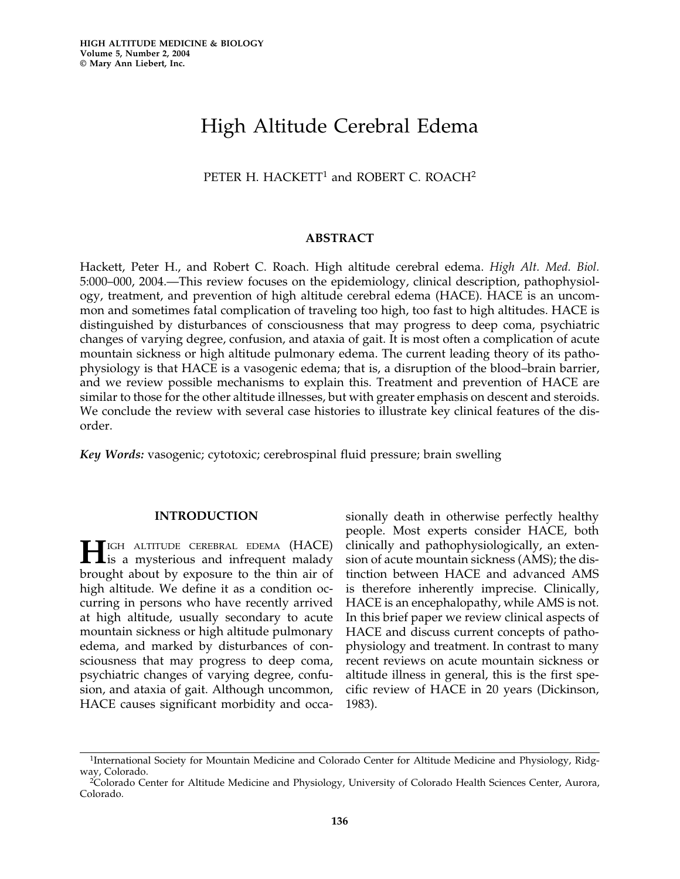# High Altitude Cerebral Edema

PETER H. HACKETT<sup>1</sup> and ROBERT C. ROACH<sup>2</sup>

# **ABSTRACT**

Hackett, Peter H., and Robert C. Roach. High altitude cerebral edema. *High Alt. Med. Biol.* 5:000–000, 2004.—This review focuses on the epidemiology, clinical description, pathophysiology, treatment, and prevention of high altitude cerebral edema (HACE). HACE is an uncommon and sometimes fatal complication of traveling too high, too fast to high altitudes. HACE is distinguished by disturbances of consciousness that may progress to deep coma, psychiatric changes of varying degree, confusion, and ataxia of gait. It is most often a complication of acute mountain sickness or high altitude pulmonary edema. The current leading theory of its pathophysiology is that HACE is a vasogenic edema; that is, a disruption of the blood–brain barrier, and we review possible mechanisms to explain this. Treatment and prevention of HACE are similar to those for the other altitude illnesses, but with greater emphasis on descent and steroids. We conclude the review with several case histories to illustrate key clinical features of the disorder.

*Key Words:* vasogenic; cytotoxic; cerebrospinal fluid pressure; brain swelling

#### **INTRODUCTION**

**H**IGH ALTITUDE CEREBRAL EDEMA (HACE) brought about by exposure to the thin air of high altitude. We define it as a condition occurring in persons who have recently arrived at high altitude, usually secondary to acute mountain sickness or high altitude pulmonary edema, and marked by disturbances of consciousness that may progress to deep coma, psychiatric changes of varying degree, confusion, and ataxia of gait. Although uncommon, HACE causes significant morbidity and occa-

sionally death in otherwise perfectly healthy people. Most experts consider HACE, both clinically and pathophysiologically, an extension of acute mountain sickness (AMS); the distinction between HACE and advanced AMS is therefore inherently imprecise. Clinically, HACE is an encephalopathy, while AMS is not. In this brief paper we review clinical aspects of HACE and discuss current concepts of pathophysiology and treatment. In contrast to many recent reviews on acute mountain sickness or altitude illness in general, this is the first specific review of HACE in 20 years (Dickinson, 1983).

<sup>&</sup>lt;sup>1</sup>International Society for Mountain Medicine and Colorado Center for Altitude Medicine and Physiology, Ridgway, Colorado.<br><sup>2</sup>Colorado Center for Altitude Medicine and Physiology, University of Colorado Health Sciences Center, Aurora,

Colorado.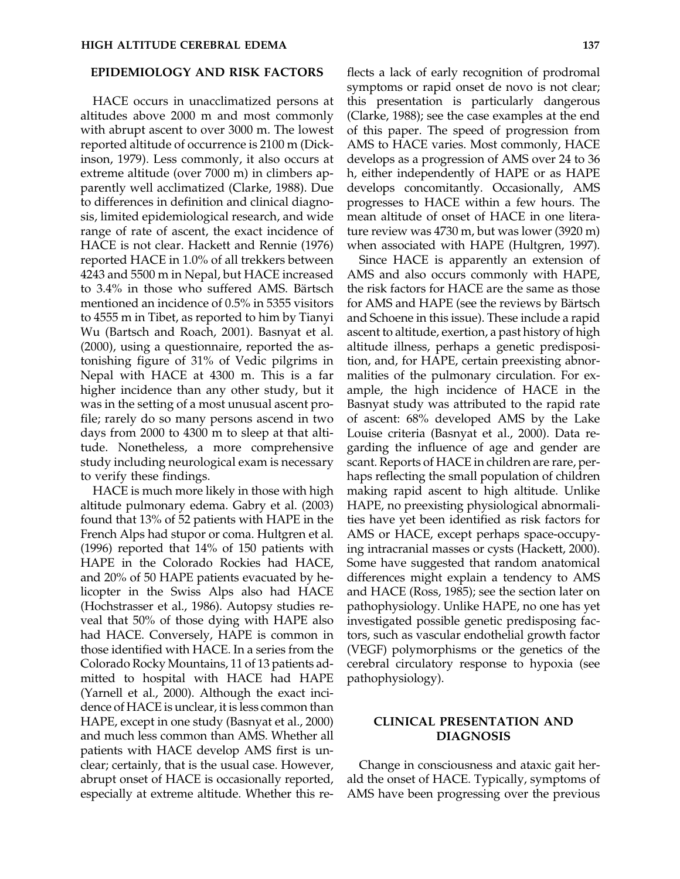## **EPIDEMIOLOGY AND RISK FACTORS**

HACE occurs in unacclimatized persons at altitudes above 2000 m and most commonly with abrupt ascent to over 3000 m. The lowest reported altitude of occurrence is 2100 m (Dickinson, 1979). Less commonly, it also occurs at extreme altitude (over 7000 m) in climbers apparently well acclimatized (Clarke, 1988). Due to differences in definition and clinical diagnosis, limited epidemiological research, and wide range of rate of ascent, the exact incidence of HACE is not clear. Hackett and Rennie (1976) reported HACE in 1.0% of all trekkers between 4243 and 5500 m in Nepal, but HACE increased to 3.4% in those who suffered AMS. Bärtsch mentioned an incidence of 0.5% in 5355 visitors to 4555 m in Tibet, as reported to him by Tianyi Wu (Bartsch and Roach, 2001). Basnyat et al. (2000), using a questionnaire, reported the astonishing figure of 31% of Vedic pilgrims in Nepal with HACE at 4300 m. This is a far higher incidence than any other study, but it was in the setting of a most unusual ascent profile; rarely do so many persons ascend in two days from 2000 to 4300 m to sleep at that altitude. Nonetheless, a more comprehensive study including neurological exam is necessary to verify these findings.

HACE is much more likely in those with high altitude pulmonary edema. Gabry et al. (2003) found that 13% of 52 patients with HAPE in the French Alps had stupor or coma. Hultgren et al. (1996) reported that 14% of 150 patients with HAPE in the Colorado Rockies had HACE, and 20% of 50 HAPE patients evacuated by helicopter in the Swiss Alps also had HACE (Hochstrasser et al., 1986). Autopsy studies reveal that 50% of those dying with HAPE also had HACE. Conversely, HAPE is common in those identified with HACE. In a series from the Colorado Rocky Mountains, 11 of 13 patients admitted to hospital with HACE had HAPE (Yarnell et al., 2000). Although the exact incidence of HACE is unclear, it is less common than HAPE, except in one study (Basnyat et al., 2000) and much less common than AMS. Whether all patients with HACE develop AMS first is unclear; certainly, that is the usual case. However, abrupt onset of HACE is occasionally reported, especially at extreme altitude. Whether this reflects a lack of early recognition of prodromal symptoms or rapid onset de novo is not clear; this presentation is particularly dangerous (Clarke, 1988); see the case examples at the end of this paper. The speed of progression from AMS to HACE varies. Most commonly, HACE develops as a progression of AMS over 24 to 36 h, either independently of HAPE or as HAPE develops concomitantly. Occasionally, AMS progresses to HACE within a few hours. The mean altitude of onset of HACE in one literature review was 4730 m, but was lower (3920 m) when associated with HAPE (Hultgren, 1997).

Since HACE is apparently an extension of AMS and also occurs commonly with HAPE, the risk factors for HACE are the same as those for AMS and HAPE (see the reviews by Bärtsch and Schoene in this issue). These include a rapid ascent to altitude, exertion, a past history of high altitude illness, perhaps a genetic predisposition, and, for HAPE, certain preexisting abnormalities of the pulmonary circulation. For example, the high incidence of HACE in the Basnyat study was attributed to the rapid rate of ascent: 68% developed AMS by the Lake Louise criteria (Basnyat et al., 2000). Data regarding the influence of age and gender are scant. Reports of HACE in children are rare, perhaps reflecting the small population of children making rapid ascent to high altitude. Unlike HAPE, no preexisting physiological abnormalities have yet been identified as risk factors for AMS or HACE, except perhaps space-occupying intracranial masses or cysts (Hackett, 2000). Some have suggested that random anatomical differences might explain a tendency to AMS and HACE (Ross, 1985); see the section later on pathophysiology. Unlike HAPE, no one has yet investigated possible genetic predisposing factors, such as vascular endothelial growth factor (VEGF) polymorphisms or the genetics of the cerebral circulatory response to hypoxia (see pathophysiology).

# **CLINICAL PRESENTATION AND DIAGNOSIS**

Change in consciousness and ataxic gait herald the onset of HACE. Typically, symptoms of AMS have been progressing over the previous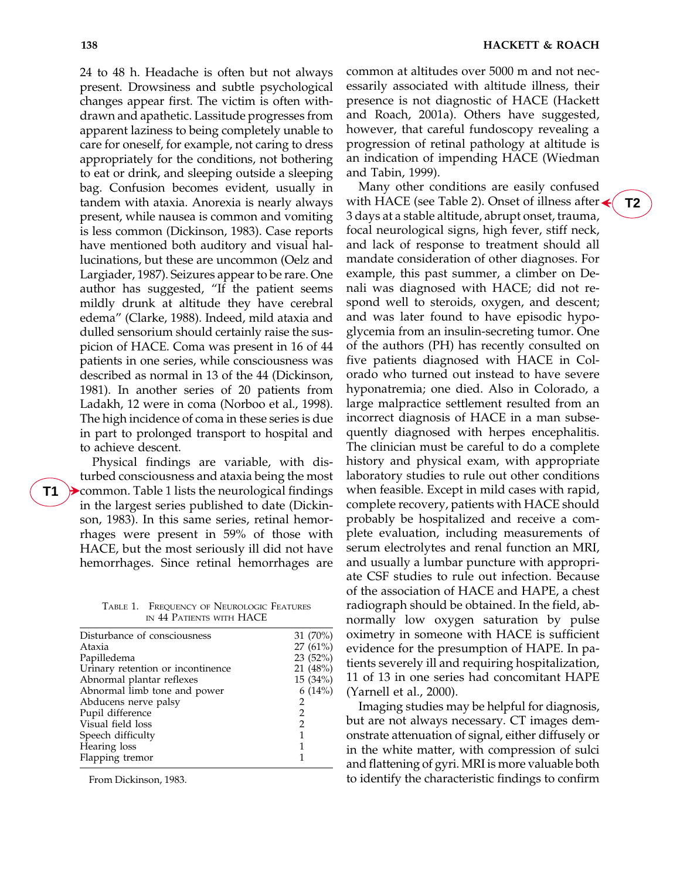24 to 48 h. Headache is often but not always present. Drowsiness and subtle psychological changes appear first. The victim is often withdrawn and apathetic. Lassitude progresses from apparent laziness to being completely unable to care for oneself, for example, not caring to dress appropriately for the conditions, not bothering to eat or drink, and sleeping outside a sleeping bag. Confusion becomes evident, usually in tandem with ataxia. Anorexia is nearly always present, while nausea is common and vomiting is less common (Dickinson, 1983). Case reports have mentioned both auditory and visual hallucinations, but these are uncommon (Oelz and Largiader, 1987). Seizures appear to be rare. One author has suggested, "If the patient seems mildly drunk at altitude they have cerebral edema" (Clarke, 1988). Indeed, mild ataxia and dulled sensorium should certainly raise the suspicion of HACE. Coma was present in 16 of 44 patients in one series, while consciousness was described as normal in 13 of the 44 (Dickinson, 1981). In another series of 20 patients from Ladakh, 12 were in coma (Norboo et al., 1998). The high incidence of coma in these series is due in part to prolonged transport to hospital and to achieve descent.

Physical findings are variable, with disturbed consciousness and ataxia being the most common. Table 1 lists the neurological findings in the largest series published to date (Dickinson, 1983). In this same series, retinal hemorrhages were present in 59% of those with HACE, but the most seriously ill did not have hemorrhages. Since retinal hemorrhages are

TABLE 1. FREQUENCY OF NEUROLOGIC FEATURES IN 44 PATIENTS WITH HACE

| Disturbance of consciousness      | 31 $(70\%)$ |
|-----------------------------------|-------------|
| Ataxia                            | $27(61\%)$  |
| Papilledema                       | 23(52%)     |
| Urinary retention or incontinence | 21(48%)     |
| Abnormal plantar reflexes         | 15(34%)     |
| Abnormal limb tone and power      | 6(14%)      |
| Abducens nerve palsy              | 2           |
| Pupil difference                  | 2           |
| Visual field loss                 | 2           |
| Speech difficulty                 | 1           |
| Hearing loss                      |             |
| Flapping tremor                   |             |
|                                   |             |

From Dickinson, 1983.

common at altitudes over 5000 m and not necessarily associated with altitude illness, their presence is not diagnostic of HACE (Hackett and Roach, 2001a). Others have suggested, however, that careful fundoscopy revealing a progression of retinal pathology at altitude is an indication of impending HACE (Wiedman and Tabin, 1999).

Many other conditions are easily confused with HACE (see Table 2). Onset of illness after **←**| 3 days at a stable altitude, abrupt onset, trauma, focal neurological signs, high fever, stiff neck, and lack of response to treatment should all mandate consideration of other diagnoses. For example, this past summer, a climber on Denali was diagnosed with HACE; did not respond well to steroids, oxygen, and descent; and was later found to have episodic hypoglycemia from an insulin-secreting tumor. One of the authors (PH) has recently consulted on five patients diagnosed with HACE in Colorado who turned out instead to have severe hyponatremia; one died. Also in Colorado, a large malpractice settlement resulted from an incorrect diagnosis of HACE in a man subsequently diagnosed with herpes encephalitis. The clinician must be careful to do a complete history and physical exam, with appropriate laboratory studies to rule out other conditions when feasible. Except in mild cases with rapid, complete recovery, patients with HACE should probably be hospitalized and receive a complete evaluation, including measurements of serum electrolytes and renal function an MRI, and usually a lumbar puncture with appropriate CSF studies to rule out infection. Because of the association of HACE and HAPE, a chest radiograph should be obtained. In the field, abnormally low oxygen saturation by pulse oximetry in someone with HACE is sufficient evidence for the presumption of HAPE. In patients severely ill and requiring hospitalization, 11 of 13 in one series had concomitant HAPE (Yarnell et al., 2000).

Imaging studies may be helpful for diagnosis, but are not always necessary. CT images demonstrate attenuation of signal, either diffusely or in the white matter, with compression of sulci and flattening of gyri. MRI is more valuable both to identify the characteristic findings to confirm

**T2**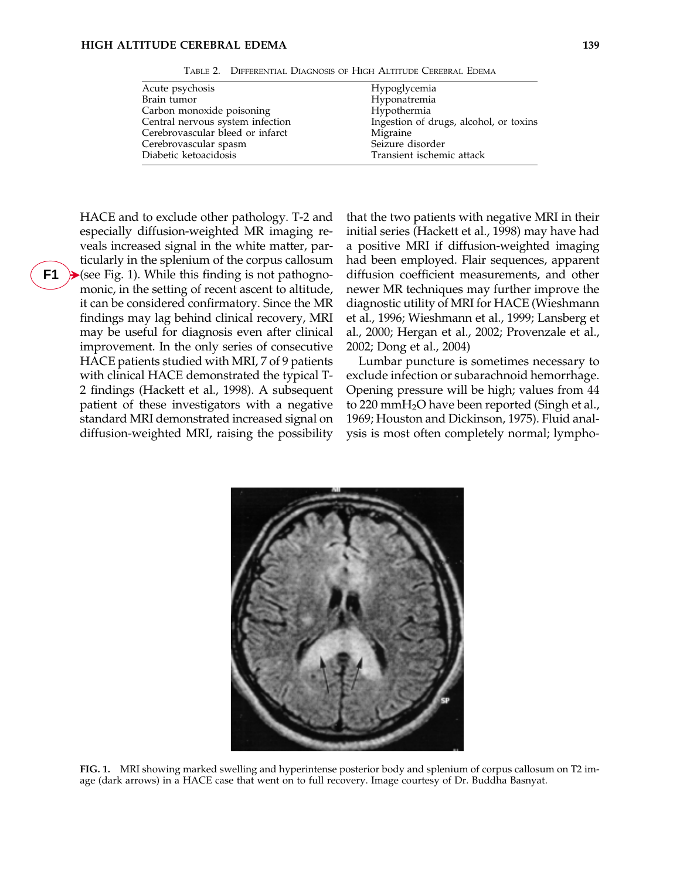| Acute psychosis                  | Hypoglycemia                           |
|----------------------------------|----------------------------------------|
| Brain tumor                      | Hyponatremia                           |
| Carbon monoxide poisoning        | Hypothermia                            |
| Central nervous system infection | Ingestion of drugs, alcohol, or toxins |
| Cerebrovascular bleed or infarct | Migraine                               |
| Cerebrovascular spasm            | Seizure disorder                       |
| Diabetic ketoacidosis            | Transient ischemic attack              |

TABLE 2. DIFFERENTIAL DIAGNOSIS OF HIGH ALTITUDE CEREBRAL EDEMA

HACE and to exclude other pathology. T-2 and especially diffusion-weighted MR imaging reveals increased signal in the white matter, particularly in the splenium of the corpus callosum  $\triangleright$  (see Fig. 1). While this finding is not pathognomonic, in the setting of recent ascent to altitude, it can be considered confirmatory. Since the MR findings may lag behind clinical recovery, MRI may be useful for diagnosis even after clinical improvement. In the only series of consecutive HACE patients studied with MRI, 7 of 9 patients with clinical HACE demonstrated the typical T-2 findings (Hackett et al., 1998). A subsequent patient of these investigators with a negative standard MRI demonstrated increased signal on diffusion-weighted MRI, raising the possibility

**F1**

that the two patients with negative MRI in their initial series (Hackett et al., 1998) may have had a positive MRI if diffusion-weighted imaging had been employed. Flair sequences, apparent diffusion coefficient measurements, and other newer MR techniques may further improve the diagnostic utility of MRI for HACE (Wieshmann et al., 1996; Wieshmann et al., 1999; Lansberg et al., 2000; Hergan et al., 2002; Provenzale et al., 2002; Dong et al., 2004)

Lumbar puncture is sometimes necessary to exclude infection or subarachnoid hemorrhage. Opening pressure will be high; values from 44 to 220 mmH<sub>2</sub>O have been reported (Singh et al., 1969; Houston and Dickinson, 1975). Fluid analysis is most often completely normal; lympho-



**FIG. 1.** MRI showing marked swelling and hyperintense posterior body and splenium of corpus callosum on T2 image (dark arrows) in a HACE case that went on to full recovery. Image courtesy of Dr. Buddha Basnyat.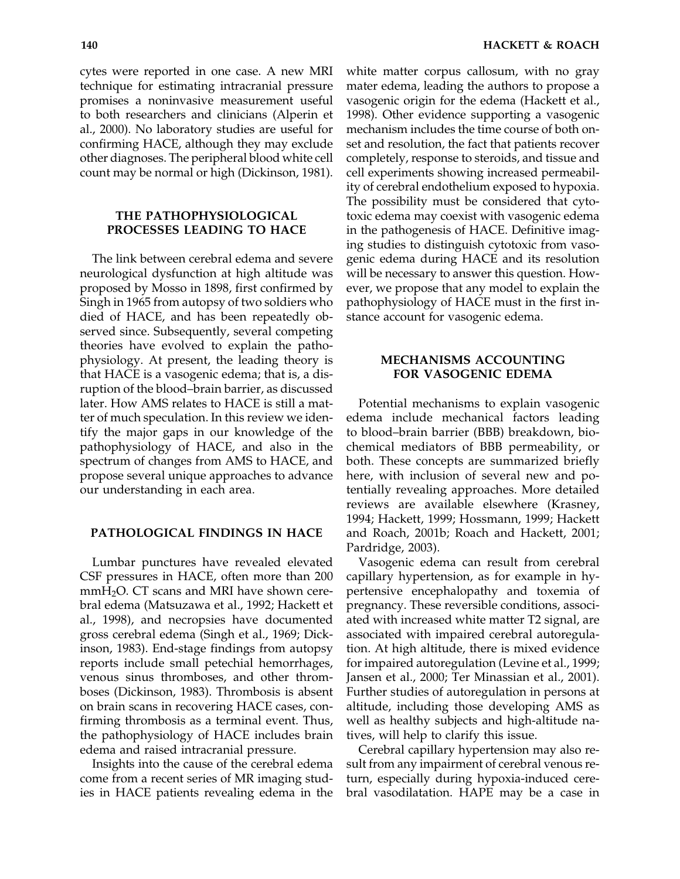cytes were reported in one case. A new MRI technique for estimating intracranial pressure promises a noninvasive measurement useful to both researchers and clinicians (Alperin et al., 2000). No laboratory studies are useful for confirming HACE, although they may exclude other diagnoses. The peripheral blood white cell count may be normal or high (Dickinson, 1981).

# **THE PATHOPHYSIOLOGICAL PROCESSES LEADING TO HACE**

The link between cerebral edema and severe neurological dysfunction at high altitude was proposed by Mosso in 1898, first confirmed by Singh in 1965 from autopsy of two soldiers who died of HACE, and has been repeatedly observed since. Subsequently, several competing theories have evolved to explain the pathophysiology. At present, the leading theory is that HACE is a vasogenic edema; that is, a disruption of the blood–brain barrier, as discussed later. How AMS relates to HACE is still a matter of much speculation. In this review we identify the major gaps in our knowledge of the pathophysiology of HACE, and also in the spectrum of changes from AMS to HACE, and propose several unique approaches to advance our understanding in each area.

#### **PATHOLOGICAL FINDINGS IN HACE**

Lumbar punctures have revealed elevated CSF pressures in HACE, often more than 200  $mmH<sub>2</sub>O$ . CT scans and MRI have shown cerebral edema (Matsuzawa et al., 1992; Hackett et al., 1998), and necropsies have documented gross cerebral edema (Singh et al., 1969; Dickinson, 1983). End-stage findings from autopsy reports include small petechial hemorrhages, venous sinus thromboses, and other thromboses (Dickinson, 1983). Thrombosis is absent on brain scans in recovering HACE cases, confirming thrombosis as a terminal event. Thus, the pathophysiology of HACE includes brain edema and raised intracranial pressure.

Insights into the cause of the cerebral edema come from a recent series of MR imaging studies in HACE patients revealing edema in the white matter corpus callosum, with no gray mater edema, leading the authors to propose a vasogenic origin for the edema (Hackett et al., 1998). Other evidence supporting a vasogenic mechanism includes the time course of both onset and resolution, the fact that patients recover completely, response to steroids, and tissue and cell experiments showing increased permeability of cerebral endothelium exposed to hypoxia. The possibility must be considered that cytotoxic edema may coexist with vasogenic edema in the pathogenesis of HACE. Definitive imaging studies to distinguish cytotoxic from vasogenic edema during HACE and its resolution will be necessary to answer this question. However, we propose that any model to explain the pathophysiology of HACE must in the first instance account for vasogenic edema.

# **MECHANISMS ACCOUNTING FOR VASOGENIC EDEMA**

Potential mechanisms to explain vasogenic edema include mechanical factors leading to blood–brain barrier (BBB) breakdown, biochemical mediators of BBB permeability, or both. These concepts are summarized briefly here, with inclusion of several new and potentially revealing approaches. More detailed reviews are available elsewhere (Krasney, 1994; Hackett, 1999; Hossmann, 1999; Hackett and Roach, 2001b; Roach and Hackett, 2001; Pardridge, 2003).

Vasogenic edema can result from cerebral capillary hypertension, as for example in hypertensive encephalopathy and toxemia of pregnancy. These reversible conditions, associated with increased white matter T2 signal, are associated with impaired cerebral autoregulation. At high altitude, there is mixed evidence for impaired autoregulation (Levine et al., 1999; Jansen et al., 2000; Ter Minassian et al., 2001). Further studies of autoregulation in persons at altitude, including those developing AMS as well as healthy subjects and high-altitude natives, will help to clarify this issue.

Cerebral capillary hypertension may also result from any impairment of cerebral venous return, especially during hypoxia-induced cerebral vasodilatation. HAPE may be a case in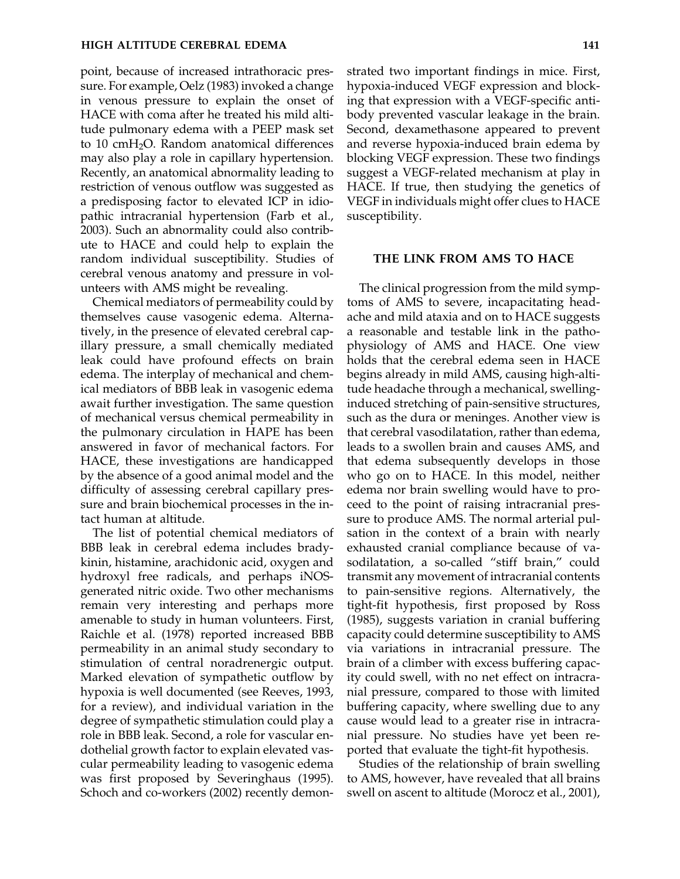point, because of increased intrathoracic pressure. For example, Oelz (1983) invoked a change in venous pressure to explain the onset of HACE with coma after he treated his mild altitude pulmonary edema with a PEEP mask set to 10  $cmH<sub>2</sub>O$ . Random anatomical differences may also play a role in capillary hypertension. Recently, an anatomical abnormality leading to restriction of venous outflow was suggested as a predisposing factor to elevated ICP in idiopathic intracranial hypertension (Farb et al., 2003). Such an abnormality could also contribute to HACE and could help to explain the random individual susceptibility. Studies of cerebral venous anatomy and pressure in volunteers with AMS might be revealing.

Chemical mediators of permeability could by themselves cause vasogenic edema. Alternatively, in the presence of elevated cerebral capillary pressure, a small chemically mediated leak could have profound effects on brain edema. The interplay of mechanical and chemical mediators of BBB leak in vasogenic edema await further investigation. The same question of mechanical versus chemical permeability in the pulmonary circulation in HAPE has been answered in favor of mechanical factors. For HACE, these investigations are handicapped by the absence of a good animal model and the difficulty of assessing cerebral capillary pressure and brain biochemical processes in the intact human at altitude.

The list of potential chemical mediators of BBB leak in cerebral edema includes bradykinin, histamine, arachidonic acid, oxygen and hydroxyl free radicals, and perhaps iNOSgenerated nitric oxide. Two other mechanisms remain very interesting and perhaps more amenable to study in human volunteers. First, Raichle et al. (1978) reported increased BBB permeability in an animal study secondary to stimulation of central noradrenergic output. Marked elevation of sympathetic outflow by hypoxia is well documented (see Reeves, 1993, for a review), and individual variation in the degree of sympathetic stimulation could play a role in BBB leak. Second, a role for vascular endothelial growth factor to explain elevated vascular permeability leading to vasogenic edema was first proposed by Severinghaus (1995). Schoch and co-workers (2002) recently demonstrated two important findings in mice. First, hypoxia-induced VEGF expression and blocking that expression with a VEGF-specific antibody prevented vascular leakage in the brain. Second, dexamethasone appeared to prevent and reverse hypoxia-induced brain edema by blocking VEGF expression. These two findings suggest a VEGF-related mechanism at play in HACE. If true, then studying the genetics of VEGF in individuals might offer clues to HACE susceptibility.

## **THE LINK FROM AMS TO HACE**

The clinical progression from the mild symptoms of AMS to severe, incapacitating headache and mild ataxia and on to HACE suggests a reasonable and testable link in the pathophysiology of AMS and HACE. One view holds that the cerebral edema seen in HACE begins already in mild AMS, causing high-altitude headache through a mechanical, swellinginduced stretching of pain-sensitive structures, such as the dura or meninges. Another view is that cerebral vasodilatation, rather than edema, leads to a swollen brain and causes AMS, and that edema subsequently develops in those who go on to HACE. In this model, neither edema nor brain swelling would have to proceed to the point of raising intracranial pressure to produce AMS. The normal arterial pulsation in the context of a brain with nearly exhausted cranial compliance because of vasodilatation, a so-called "stiff brain," could transmit any movement of intracranial contents to pain-sensitive regions. Alternatively, the tight-fit hypothesis, first proposed by Ross (1985), suggests variation in cranial buffering capacity could determine susceptibility to AMS via variations in intracranial pressure. The brain of a climber with excess buffering capacity could swell, with no net effect on intracranial pressure, compared to those with limited buffering capacity, where swelling due to any cause would lead to a greater rise in intracranial pressure. No studies have yet been reported that evaluate the tight-fit hypothesis.

Studies of the relationship of brain swelling to AMS, however, have revealed that all brains swell on ascent to altitude (Morocz et al., 2001),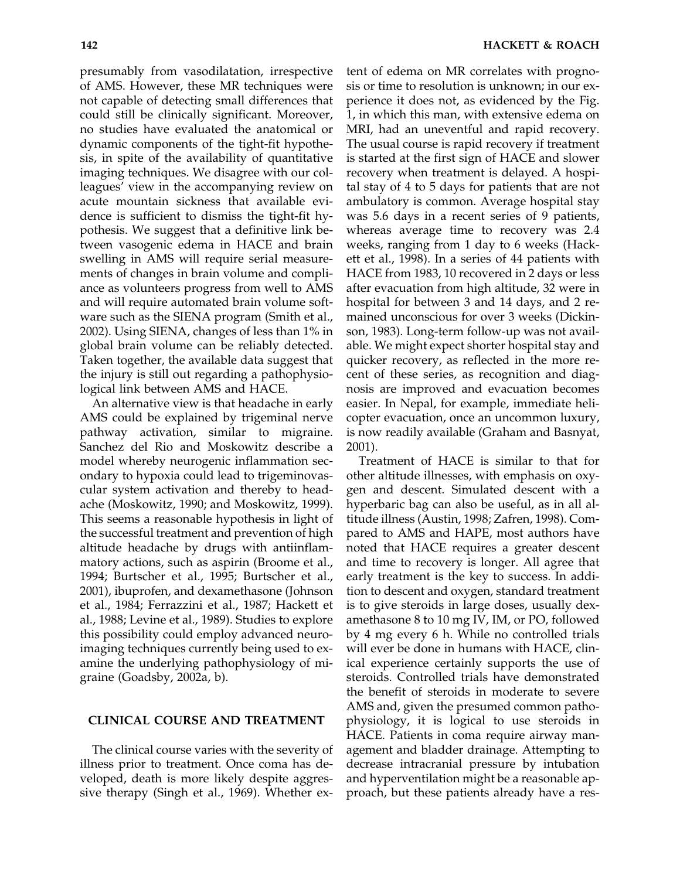presumably from vasodilatation, irrespective of AMS. However, these MR techniques were not capable of detecting small differences that could still be clinically significant. Moreover, no studies have evaluated the anatomical or dynamic components of the tight-fit hypothesis, in spite of the availability of quantitative imaging techniques. We disagree with our colleagues' view in the accompanying review on acute mountain sickness that available evidence is sufficient to dismiss the tight-fit hypothesis. We suggest that a definitive link between vasogenic edema in HACE and brain swelling in AMS will require serial measurements of changes in brain volume and compliance as volunteers progress from well to AMS and will require automated brain volume soft-

ware such as the SIENA program (Smith et al., 2002). Using SIENA, changes of less than 1% in global brain volume can be reliably detected. Taken together, the available data suggest that the injury is still out regarding a pathophysiological link between AMS and HACE.

An alternative view is that headache in early AMS could be explained by trigeminal nerve pathway activation, similar to migraine. Sanchez del Rio and Moskowitz describe a model whereby neurogenic inflammation secondary to hypoxia could lead to trigeminovascular system activation and thereby to headache (Moskowitz, 1990; and Moskowitz, 1999). This seems a reasonable hypothesis in light of the successful treatment and prevention of high altitude headache by drugs with antiinflammatory actions, such as aspirin (Broome et al., 1994; Burtscher et al., 1995; Burtscher et al., 2001), ibuprofen, and dexamethasone (Johnson et al., 1984; Ferrazzini et al., 1987; Hackett et al., 1988; Levine et al., 1989). Studies to explore this possibility could employ advanced neuroimaging techniques currently being used to examine the underlying pathophysiology of migraine (Goadsby, 2002a, b).

#### **CLINICAL COURSE AND TREATMENT**

The clinical course varies with the severity of illness prior to treatment. Once coma has developed, death is more likely despite aggressive therapy (Singh et al., 1969). Whether ex-

tent of edema on MR correlates with prognosis or time to resolution is unknown; in our experience it does not, as evidenced by the Fig. 1, in which this man, with extensive edema on MRI, had an uneventful and rapid recovery. The usual course is rapid recovery if treatment is started at the first sign of HACE and slower recovery when treatment is delayed. A hospital stay of 4 to 5 days for patients that are not ambulatory is common. Average hospital stay was 5.6 days in a recent series of 9 patients, whereas average time to recovery was 2.4 weeks, ranging from 1 day to 6 weeks (Hackett et al., 1998). In a series of 44 patients with HACE from 1983, 10 recovered in 2 days or less after evacuation from high altitude, 32 were in hospital for between 3 and 14 days, and 2 remained unconscious for over 3 weeks (Dickinson, 1983). Long-term follow-up was not available. We might expect shorter hospital stay and quicker recovery, as reflected in the more recent of these series, as recognition and diagnosis are improved and evacuation becomes easier. In Nepal, for example, immediate helicopter evacuation, once an uncommon luxury, is now readily available (Graham and Basnyat, 2001).

Treatment of HACE is similar to that for other altitude illnesses, with emphasis on oxygen and descent. Simulated descent with a hyperbaric bag can also be useful, as in all altitude illness (Austin, 1998; Zafren, 1998). Compared to AMS and HAPE, most authors have noted that HACE requires a greater descent and time to recovery is longer. All agree that early treatment is the key to success. In addition to descent and oxygen, standard treatment is to give steroids in large doses, usually dexamethasone 8 to 10 mg IV, IM, or PO, followed by 4 mg every 6 h. While no controlled trials will ever be done in humans with HACE, clinical experience certainly supports the use of steroids. Controlled trials have demonstrated the benefit of steroids in moderate to severe AMS and, given the presumed common pathophysiology, it is logical to use steroids in HACE. Patients in coma require airway management and bladder drainage. Attempting to decrease intracranial pressure by intubation and hyperventilation might be a reasonable approach, but these patients already have a res-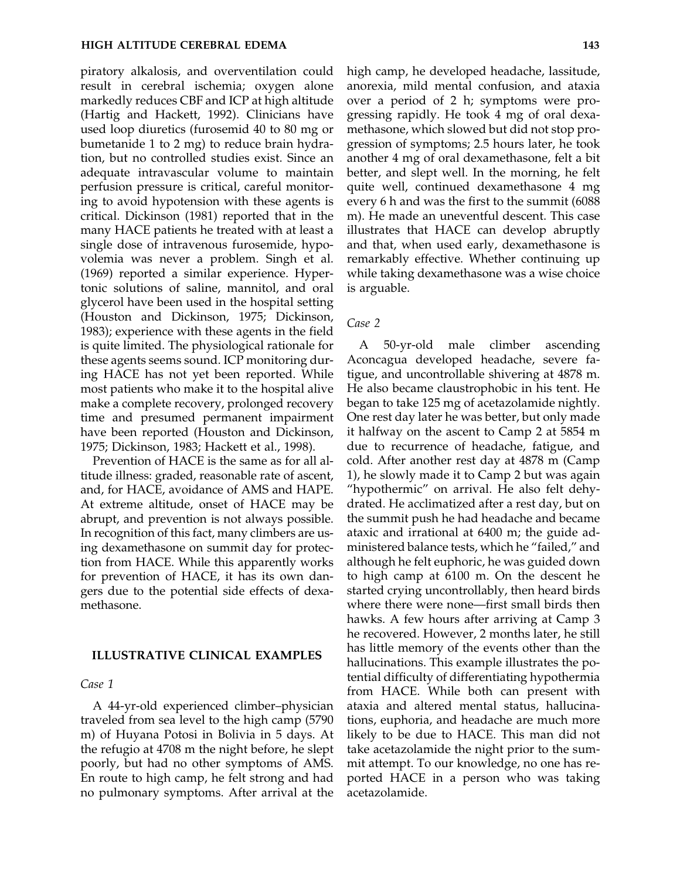piratory alkalosis, and overventilation could result in cerebral ischemia; oxygen alone markedly reduces CBF and ICP at high altitude (Hartig and Hackett, 1992). Clinicians have used loop diuretics (furosemid 40 to 80 mg or bumetanide 1 to 2 mg) to reduce brain hydration, but no controlled studies exist. Since an adequate intravascular volume to maintain perfusion pressure is critical, careful monitoring to avoid hypotension with these agents is critical. Dickinson (1981) reported that in the many HACE patients he treated with at least a single dose of intravenous furosemide, hypovolemia was never a problem. Singh et al. (1969) reported a similar experience. Hypertonic solutions of saline, mannitol, and oral glycerol have been used in the hospital setting (Houston and Dickinson, 1975; Dickinson, 1983); experience with these agents in the field is quite limited. The physiological rationale for these agents seems sound. ICP monitoring during HACE has not yet been reported. While most patients who make it to the hospital alive make a complete recovery, prolonged recovery time and presumed permanent impairment have been reported (Houston and Dickinson, 1975; Dickinson, 1983; Hackett et al., 1998).

Prevention of HACE is the same as for all altitude illness: graded, reasonable rate of ascent, and, for HACE, avoidance of AMS and HAPE. At extreme altitude, onset of HACE may be abrupt, and prevention is not always possible. In recognition of this fact, many climbers are using dexamethasone on summit day for protection from HACE. While this apparently works for prevention of HACE, it has its own dangers due to the potential side effects of dexamethasone.

### **ILLUSTRATIVE CLINICAL EXAMPLES**

#### *Case 1*

A 44-yr-old experienced climber–physician traveled from sea level to the high camp (5790 m) of Huyana Potosi in Bolivia in 5 days. At the refugio at 4708 m the night before, he slept poorly, but had no other symptoms of AMS. En route to high camp, he felt strong and had no pulmonary symptoms. After arrival at the

high camp, he developed headache, lassitude, anorexia, mild mental confusion, and ataxia over a period of 2 h; symptoms were progressing rapidly. He took 4 mg of oral dexamethasone, which slowed but did not stop progression of symptoms; 2.5 hours later, he took another 4 mg of oral dexamethasone, felt a bit better, and slept well. In the morning, he felt quite well, continued dexamethasone 4 mg every 6 h and was the first to the summit (6088 m). He made an uneventful descent. This case illustrates that HACE can develop abruptly and that, when used early, dexamethasone is remarkably effective. Whether continuing up while taking dexamethasone was a wise choice is arguable.

#### *Case 2*

A 50-yr-old male climber ascending Aconcagua developed headache, severe fatigue, and uncontrollable shivering at 4878 m. He also became claustrophobic in his tent. He began to take 125 mg of acetazolamide nightly. One rest day later he was better, but only made it halfway on the ascent to Camp 2 at 5854 m due to recurrence of headache, fatigue, and cold. After another rest day at 4878 m (Camp 1), he slowly made it to Camp 2 but was again "hypothermic" on arrival. He also felt dehydrated. He acclimatized after a rest day, but on the summit push he had headache and became ataxic and irrational at 6400 m; the guide administered balance tests, which he "failed," and although he felt euphoric, he was guided down to high camp at 6100 m. On the descent he started crying uncontrollably, then heard birds where there were none—first small birds then hawks. A few hours after arriving at Camp 3 he recovered. However, 2 months later, he still has little memory of the events other than the hallucinations. This example illustrates the potential difficulty of differentiating hypothermia from HACE. While both can present with ataxia and altered mental status, hallucinations, euphoria, and headache are much more likely to be due to HACE. This man did not take acetazolamide the night prior to the summit attempt. To our knowledge, no one has reported HACE in a person who was taking acetazolamide.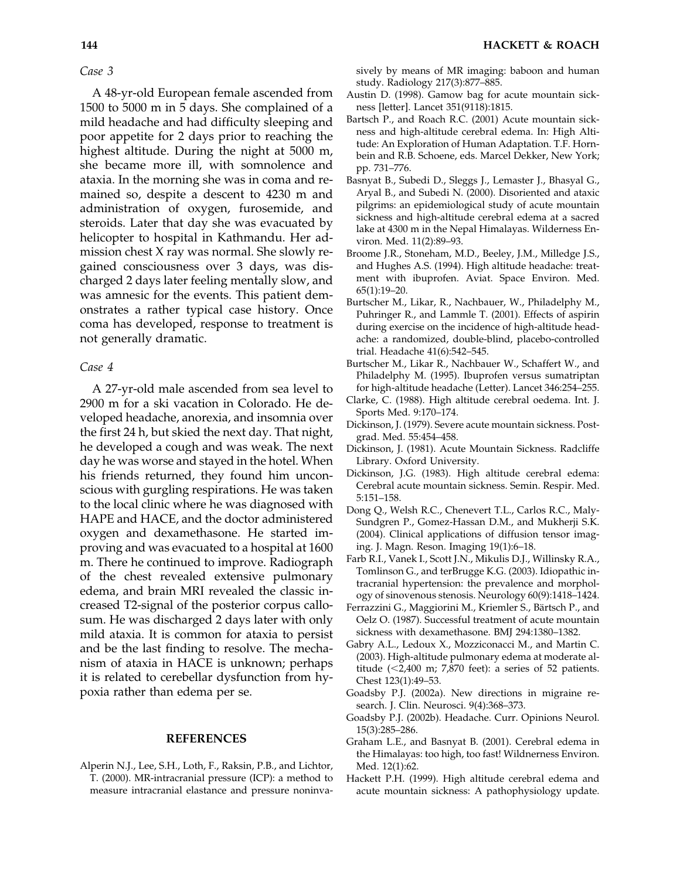#### *Case 3*

A 48-yr-old European female ascended from 1500 to 5000 m in 5 days. She complained of a mild headache and had difficulty sleeping and poor appetite for 2 days prior to reaching the highest altitude. During the night at 5000 m, she became more ill, with somnolence and ataxia. In the morning she was in coma and remained so, despite a descent to 4230 m and administration of oxygen, furosemide, and steroids. Later that day she was evacuated by helicopter to hospital in Kathmandu. Her admission chest X ray was normal. She slowly regained consciousness over 3 days, was discharged 2 days later feeling mentally slow, and was amnesic for the events. This patient demonstrates a rather typical case history. Once coma has developed, response to treatment is not generally dramatic.

#### *Case 4*

A 27-yr-old male ascended from sea level to 2900 m for a ski vacation in Colorado. He developed headache, anorexia, and insomnia over the first 24 h, but skied the next day. That night, he developed a cough and was weak. The next day he was worse and stayed in the hotel. When his friends returned, they found him unconscious with gurgling respirations. He was taken to the local clinic where he was diagnosed with HAPE and HACE, and the doctor administered oxygen and dexamethasone. He started improving and was evacuated to a hospital at 1600 m. There he continued to improve. Radiograph of the chest revealed extensive pulmonary edema, and brain MRI revealed the classic increased T2-signal of the posterior corpus callosum. He was discharged 2 days later with only mild ataxia. It is common for ataxia to persist and be the last finding to resolve. The mechanism of ataxia in HACE is unknown; perhaps it is related to cerebellar dysfunction from hypoxia rather than edema per se.

## **REFERENCES**

Alperin N.J., Lee, S.H., Loth, F., Raksin, P.B., and Lichtor, T. (2000). MR-intracranial pressure (ICP): a method to measure intracranial elastance and pressure noninvasively by means of MR imaging: baboon and human study. Radiology 217(3):877–885.

- Austin D. (1998). Gamow bag for acute mountain sickness [letter]. Lancet 351(9118):1815.
- Bartsch P., and Roach R.C. (2001) Acute mountain sickness and high-altitude cerebral edema. In: High Altitude: An Exploration of Human Adaptation. T.F. Hornbein and R.B. Schoene, eds. Marcel Dekker, New York; pp. 731–776.
- Basnyat B., Subedi D., Sleggs J., Lemaster J., Bhasyal G., Aryal B., and Subedi N. (2000). Disoriented and ataxic pilgrims: an epidemiological study of acute mountain sickness and high-altitude cerebral edema at a sacred lake at 4300 m in the Nepal Himalayas. Wilderness Environ. Med. 11(2):89–93.
- Broome J.R., Stoneham, M.D., Beeley, J.M., Milledge J.S., and Hughes A.S. (1994). High altitude headache: treatment with ibuprofen. Aviat. Space Environ. Med. 65(1):19–20.
- Burtscher M., Likar, R., Nachbauer, W., Philadelphy M., Puhringer R., and Lammle T. (2001). Effects of aspirin during exercise on the incidence of high-altitude headache: a randomized, double-blind, placebo-controlled trial. Headache 41(6):542–545.
- Burtscher M., Likar R., Nachbauer W., Schaffert W., and Philadelphy M. (1995). Ibuprofen versus sumatriptan for high-altitude headache (Letter). Lancet 346:254–255.
- Clarke, C. (1988). High altitude cerebral oedema. Int. J. Sports Med. 9:170–174.
- Dickinson, J. (1979). Severe acute mountain sickness. Postgrad. Med. 55:454–458.
- Dickinson, J. (1981). Acute Mountain Sickness. Radcliffe Library. Oxford University.
- Dickinson, J.G. (1983). High altitude cerebral edema: Cerebral acute mountain sickness. Semin. Respir. Med. 5:151–158.
- Dong Q., Welsh R.C., Chenevert T.L., Carlos R.C., Maly-Sundgren P., Gomez-Hassan D.M., and Mukherji S.K. (2004). Clinical applications of diffusion tensor imaging. J. Magn. Reson. Imaging 19(1):6–18.
- Farb R.I., Vanek I., Scott J.N., Mikulis D.J., Willinsky R.A., Tomlinson G., and terBrugge K.G. (2003). Idiopathic intracranial hypertension: the prevalence and morphology of sinovenous stenosis. Neurology 60(9):1418–1424.
- Ferrazzini G., Maggiorini M., Kriemler S., Bärtsch P., and Oelz O. (1987). Successful treatment of acute mountain sickness with dexamethasone. BMJ 294:1380–1382.
- Gabry A.L., Ledoux X., Mozziconacci M., and Martin C. (2003). High-altitude pulmonary edema at moderate altitude  $(<2,400 \text{ m}; 7,870 \text{ feet})$ : a series of 52 patients. Chest 123(1):49–53.
- Goadsby P.J. (2002a). New directions in migraine research. J. Clin. Neurosci. 9(4):368–373.
- Goadsby P.J. (2002b). Headache. Curr. Opinions Neurol. 15(3):285–286.
- Graham L.E., and Basnyat B. (2001). Cerebral edema in the Himalayas: too high, too fast! Wildnerness Environ. Med. 12(1):62.
- Hackett P.H. (1999). High altitude cerebral edema and acute mountain sickness: A pathophysiology update.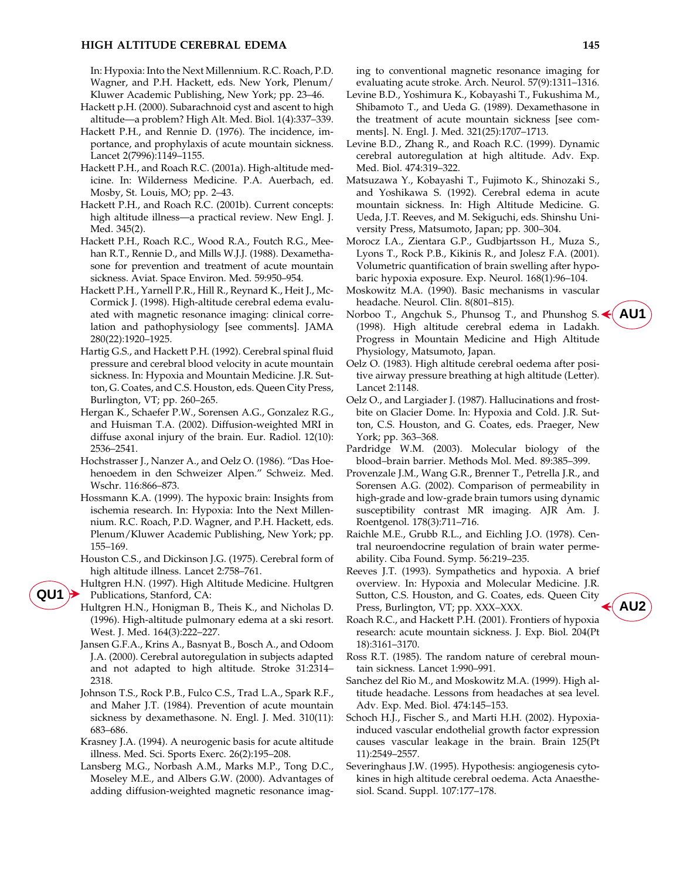#### **HIGH ALTITUDE CEREBRAL EDEMA 145**

In: Hypoxia: Into the Next Millennium. R.C. Roach, P.D. Wagner, and P.H. Hackett, eds. New York, Plenum/ Kluwer Academic Publishing, New York; pp. 23–46.

- Hackett p.H. (2000). Subarachnoid cyst and ascent to high altitude—a problem? High Alt. Med. Biol. 1(4):337–339.
- Hackett P.H., and Rennie D. (1976). The incidence, importance, and prophylaxis of acute mountain sickness. Lancet 2(7996):1149–1155.
- Hackett P.H., and Roach R.C. (2001a). High-altitude medicine. In: Wilderness Medicine. P.A. Auerbach, ed. Mosby, St. Louis, MO; pp. 2–43.
- Hackett P.H., and Roach R.C. (2001b). Current concepts: high altitude illness—a practical review. New Engl. J. Med. 345(2).
- Hackett P.H., Roach R.C., Wood R.A., Foutch R.G., Meehan R.T., Rennie D., and Mills W.J.J. (1988). Dexamethasone for prevention and treatment of acute mountain sickness. Aviat. Space Environ. Med. 59:950–954.
- Hackett P.H., Yarnell P.R., Hill R., Reynard K., Heit J., Mc-Cormick J. (1998). High-altitude cerebral edema evaluated with magnetic resonance imaging: clinical correlation and pathophysiology [see comments]. JAMA 280(22):1920–1925.
- Hartig G.S., and Hackett P.H. (1992). Cerebral spinal fluid pressure and cerebral blood velocity in acute mountain sickness. In: Hypoxia and Mountain Medicine. J.R. Sutton, G. Coates, and C.S. Houston, eds. Queen City Press, Burlington, VT; pp. 260–265.
- Hergan K., Schaefer P.W., Sorensen A.G., Gonzalez R.G., and Huisman T.A. (2002). Diffusion-weighted MRI in diffuse axonal injury of the brain. Eur. Radiol. 12(10): 2536–2541.
- Hochstrasser J., Nanzer A., and Oelz O. (1986). "Das Hoehenoedem in den Schweizer Alpen." Schweiz. Med. Wschr. 116:866–873.
- Hossmann K.A. (1999). The hypoxic brain: Insights from ischemia research. In: Hypoxia: Into the Next Millennium. R.C. Roach, P.D. Wagner, and P.H. Hackett, eds. Plenum/Kluwer Academic Publishing, New York; pp. 155–169.
- Houston C.S., and Dickinson J.G. (1975). Cerebral form of high altitude illness. Lancet 2:758–761.
- Hultgren H.N. (1997). High Altitude Medicine. Hultgren Publications, Stanford, CA:

**QU1**

- Hultgren H.N., Honigman B., Theis K., and Nicholas D. (1996). High-altitude pulmonary edema at a ski resort. West. J. Med. 164(3):222–227.
- Jansen G.F.A., Krins A., Basnyat B., Bosch A., and Odoom J.A. (2000). Cerebral autoregulation in subjects adapted and not adapted to high altitude. Stroke 31:2314– 2318.
- Johnson T.S., Rock P.B., Fulco C.S., Trad L.A., Spark R.F., and Maher J.T. (1984). Prevention of acute mountain sickness by dexamethasone. N. Engl. J. Med. 310(11): 683–686.
- Krasney J.A. (1994). A neurogenic basis for acute altitude illness. Med. Sci. Sports Exerc. 26(2):195–208.
- Lansberg M.G., Norbash A.M., Marks M.P., Tong D.C., Moseley M.E., and Albers G.W. (2000). Advantages of adding diffusion-weighted magnetic resonance imag-

ing to conventional magnetic resonance imaging for evaluating acute stroke. Arch. Neurol. 57(9):1311–1316.

- Levine B.D., Yoshimura K., Kobayashi T., Fukushima M., Shibamoto T., and Ueda G. (1989). Dexamethasone in the treatment of acute mountain sickness [see comments]. N. Engl. J. Med. 321(25):1707–1713.
- Levine B.D., Zhang R., and Roach R.C. (1999). Dynamic cerebral autoregulation at high altitude. Adv. Exp. Med. Biol. 474:319–322.
- Matsuzawa Y., Kobayashi T., Fujimoto K., Shinozaki S., and Yoshikawa S. (1992). Cerebral edema in acute mountain sickness. In: High Altitude Medicine. G. Ueda, J.T. Reeves, and M. Sekiguchi, eds. Shinshu University Press, Matsumoto, Japan; pp. 300–304.
- Morocz I.A., Zientara G.P., Gudbjartsson H., Muza S., Lyons T., Rock P.B., Kikinis R., and Jolesz F.A. (2001). Volumetric quantification of brain swelling after hypobaric hypoxia exposure. Exp. Neurol. 168(1):96–104.
- Moskowitz M.A. (1990). Basic mechanisms in vascular headache. Neurol. Clin. 8(801–815).
- Norboo T., Angchuk S., Phunsog T., and Phunshog S.  $\leftarrow$ (1998). High altitude cerebral edema in Ladakh. Progress in Mountain Medicine and High Altitude Physiology, Matsumoto, Japan.
- Oelz O. (1983). High altitude cerebral oedema after positive airway pressure breathing at high altitude (Letter). Lancet 2:1148.
- Oelz O., and Largiader J. (1987). Hallucinations and frostbite on Glacier Dome. In: Hypoxia and Cold. J.R. Sutton, C.S. Houston, and G. Coates, eds. Praeger, New York; pp. 363–368.
- Pardridge W.M. (2003). Molecular biology of the blood–brain barrier. Methods Mol. Med. 89:385–399.
- Provenzale J.M., Wang G.R., Brenner T., Petrella J.R., and Sorensen A.G. (2002). Comparison of permeability in high-grade and low-grade brain tumors using dynamic susceptibility contrast MR imaging. AJR Am. J. Roentgenol. 178(3):711–716.
- Raichle M.E., Grubb R.L., and Eichling J.O. (1978). Central neuroendocrine regulation of brain water permeability. Ciba Found. Symp. 56:219–235.
- Reeves J.T. (1993). Sympathetics and hypoxia. A brief overview. In: Hypoxia and Molecular Medicine. J.R. Sutton, C.S. Houston, and G. Coates, eds. Queen City Press, Burlington, VT; pp. XXX–XXX.
- Roach R.C., and Hackett P.H. (2001). Frontiers of hypoxia research: acute mountain sickness. J. Exp. Biol. 204(Pt 18):3161–3170.
- Ross R.T. (1985). The random nature of cerebral mountain sickness. Lancet 1:990–991.
- Sanchez del Rio M., and Moskowitz M.A. (1999). High altitude headache. Lessons from headaches at sea level. Adv. Exp. Med. Biol. 474:145–153.
- Schoch H.J., Fischer S., and Marti H.H. (2002). Hypoxiainduced vascular endothelial growth factor expression causes vascular leakage in the brain. Brain 125(Pt 11):2549–2557.
- Severinghaus J.W. (1995). Hypothesis: angiogenesis cytokines in high altitude cerebral oedema. Acta Anaesthesiol. Scand. Suppl. 107:177–178.



**AU1** -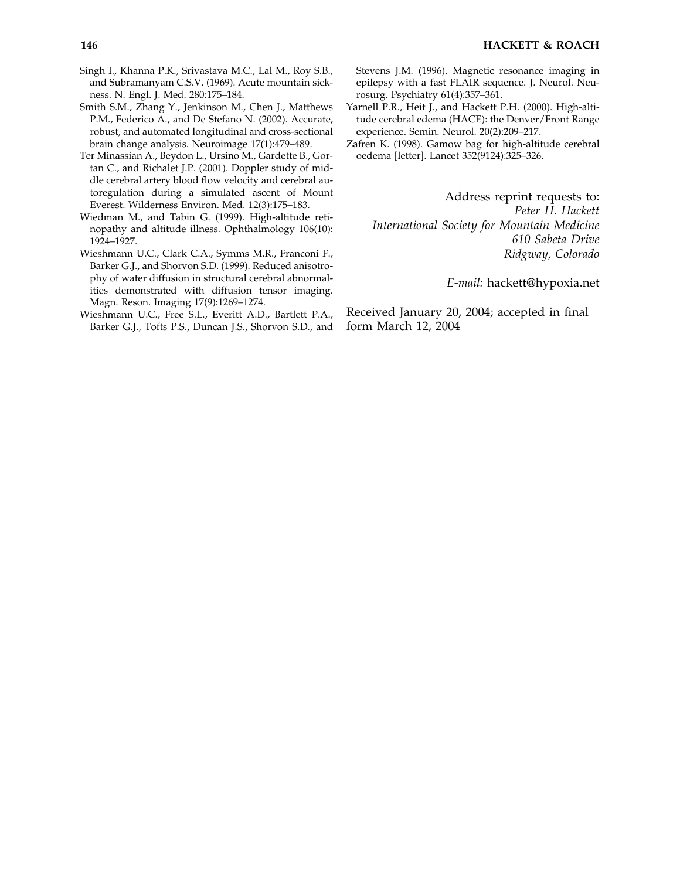- Singh I., Khanna P.K., Srivastava M.C., Lal M., Roy S.B., and Subramanyam C.S.V. (1969). Acute mountain sickness. N. Engl. J. Med. 280:175–184.
- Smith S.M., Zhang Y., Jenkinson M., Chen J., Matthews P.M., Federico A., and De Stefano N. (2002). Accurate, robust, and automated longitudinal and cross-sectional brain change analysis. Neuroimage 17(1):479–489.
- Ter Minassian A., Beydon L., Ursino M., Gardette B., Gortan C., and Richalet J.P. (2001). Doppler study of middle cerebral artery blood flow velocity and cerebral autoregulation during a simulated ascent of Mount Everest. Wilderness Environ. Med. 12(3):175–183.
- Wiedman M., and Tabin G. (1999). High-altitude retinopathy and altitude illness. Ophthalmology 106(10): 1924–1927.
- Wieshmann U.C., Clark C.A., Symms M.R., Franconi F., Barker G.J., and Shorvon S.D. (1999). Reduced anisotrophy of water diffusion in structural cerebral abnormalities demonstrated with diffusion tensor imaging. Magn. Reson. Imaging 17(9):1269–1274.
- Wieshmann U.C., Free S.L., Everitt A.D., Bartlett P.A., Barker G.J., Tofts P.S., Duncan J.S., Shorvon S.D., and

Stevens J.M. (1996). Magnetic resonance imaging in epilepsy with a fast FLAIR sequence. J. Neurol. Neurosurg. Psychiatry 61(4):357–361.

- Yarnell P.R., Heit J., and Hackett P.H. (2000). High-altitude cerebral edema (HACE): the Denver/Front Range experience. Semin. Neurol. 20(2):209–217.
- Zafren K. (1998). Gamow bag for high-altitude cerebral oedema [letter]. Lancet 352(9124):325–326.

Address reprint requests to: *Peter H. Hackett International Society for Mountain Medicine 610 Sabeta Drive Ridgway, Colorado*

#### *E-mail:* hackett@hypoxia.net

Received January 20, 2004; accepted in final form March 12, 2004